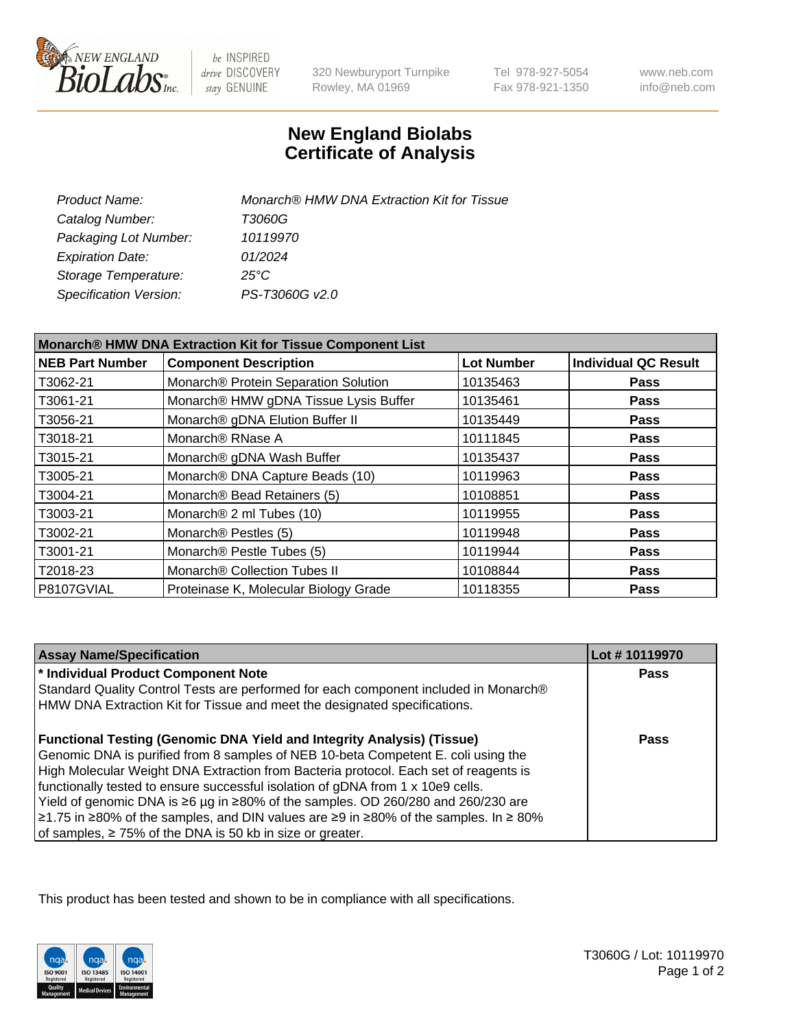

 $be$  INSPIRED drive DISCOVERY stay GENUINE

320 Newburyport Turnpike Rowley, MA 01969

Tel 978-927-5054 Fax 978-921-1350

www.neb.com info@neb.com

## **New England Biolabs Certificate of Analysis**

| Product Name:                 | Monarch® HMW DNA Extraction Kit for Tissue |
|-------------------------------|--------------------------------------------|
| Catalog Number:               | T3060G                                     |
| Packaging Lot Number:         | 10119970                                   |
| <b>Expiration Date:</b>       | 01/2024                                    |
| Storage Temperature:          | $25^{\circ}$ C                             |
| <b>Specification Version:</b> | PS-T3060G v2.0                             |

| Monarch® HMW DNA Extraction Kit for Tissue Component List |                                       |                   |                             |  |
|-----------------------------------------------------------|---------------------------------------|-------------------|-----------------------------|--|
| <b>NEB Part Number</b>                                    | <b>Component Description</b>          | <b>Lot Number</b> | <b>Individual QC Result</b> |  |
| T3062-21                                                  | Monarch® Protein Separation Solution  | 10135463          | <b>Pass</b>                 |  |
| T3061-21                                                  | Monarch® HMW gDNA Tissue Lysis Buffer | 10135461          | <b>Pass</b>                 |  |
| T3056-21                                                  | Monarch® gDNA Elution Buffer II       | 10135449          | <b>Pass</b>                 |  |
| T3018-21                                                  | Monarch <sup>®</sup> RNase A          | 10111845          | Pass                        |  |
| T3015-21                                                  | Monarch® gDNA Wash Buffer             | 10135437          | <b>Pass</b>                 |  |
| T3005-21                                                  | Monarch® DNA Capture Beads (10)       | 10119963          | <b>Pass</b>                 |  |
| T3004-21                                                  | Monarch® Bead Retainers (5)           | 10108851          | <b>Pass</b>                 |  |
| T3003-21                                                  | Monarch <sup>®</sup> 2 ml Tubes (10)  | 10119955          | <b>Pass</b>                 |  |
| T3002-21                                                  | Monarch <sup>®</sup> Pestles (5)      | 10119948          | <b>Pass</b>                 |  |
| T3001-21                                                  | Monarch <sup>®</sup> Pestle Tubes (5) | 10119944          | <b>Pass</b>                 |  |
| T2018-23                                                  | Monarch® Collection Tubes II          | 10108844          | <b>Pass</b>                 |  |
| P8107GVIAL                                                | Proteinase K, Molecular Biology Grade | 10118355          | <b>Pass</b>                 |  |

| <b>Assay Name/Specification</b>                                                          | Lot #10119970 |
|------------------------------------------------------------------------------------------|---------------|
| * Individual Product Component Note                                                      | Pass          |
| Standard Quality Control Tests are performed for each component included in Monarch®     |               |
| HMW DNA Extraction Kit for Tissue and meet the designated specifications.                |               |
| <b>Functional Testing (Genomic DNA Yield and Integrity Analysis) (Tissue)</b>            | Pass          |
| Genomic DNA is purified from 8 samples of NEB 10-beta Competent E. coli using the        |               |
| High Molecular Weight DNA Extraction from Bacteria protocol. Each set of reagents is     |               |
| functionally tested to ensure successful isolation of gDNA from 1 x 10e9 cells.          |               |
| Yield of genomic DNA is ≥6 µg in ≥80% of the samples. OD 260/280 and 260/230 are         |               |
| $\ge$ 1.75 in ≥80% of the samples, and DIN values are ≥9 in ≥80% of the samples. In ≥80% |               |
| of samples, $\geq 75\%$ of the DNA is 50 kb in size or greater.                          |               |

This product has been tested and shown to be in compliance with all specifications.